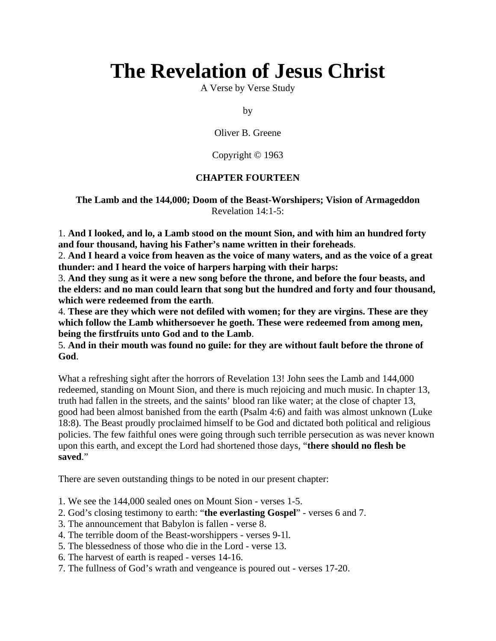# **The Revelation of Jesus Christ**

A Verse by Verse Study

by

Oliver B. Greene

Copyright © 1963

# **CHAPTER FOURTEEN**

**The Lamb and the 144,000; Doom of the Beast-Worshipers; Vision of Armageddon** Revelation 14:1-5:

1. **And I looked, and lo, a Lamb stood on the mount Sion, and with him an hundred forty and four thousand, having his Father's name written in their foreheads**.

2. **And I heard a voice from heaven as the voice of many waters, and as the voice of a great thunder: and I heard the voice of harpers harping with their harps:**

3. **And they sung as it were a new song before the throne, and before the four beasts, and the elders: and no man could learn that song but the hundred and forty and four thousand, which were redeemed from the earth**.

4. **These are they which were not defiled with women; for they are virgins. These are they which follow the Lamb whithersoever he goeth. These were redeemed from among men, being the firstfruits unto God and to the Lamb**.

5. **And in their mouth was found no guile: for they are without fault before the throne of God**.

What a refreshing sight after the horrors of Revelation 13! John sees the Lamb and 144,000 redeemed, standing on Mount Sion, and there is much rejoicing and much music. In chapter 13, truth had fallen in the streets, and the saints' blood ran like water; at the close of chapter 13, good had been almost banished from the earth (Psalm 4:6) and faith was almost unknown (Luke 18:8). The Beast proudly proclaimed himself to be God and dictated both political and religious policies. The few faithful ones were going through such terrible persecution as was never known upon this earth, and except the Lord had shortened those days, "**there should no flesh be saved**."

There are seven outstanding things to be noted in our present chapter:

- 1. We see the 144,000 sealed ones on Mount Sion verses 1-5.
- 2. God's closing testimony to earth: "**the everlasting Gospel**" verses 6 and 7.
- 3. The announcement that Babylon is fallen verse 8.
- 4. The terrible doom of the Beast-worshippers verses 9-1l.
- 5. The blessedness of those who die in the Lord verse 13.
- 6. The harvest of earth is reaped verses 14-16.
- 7. The fullness of God's wrath and vengeance is poured out verses 17-20.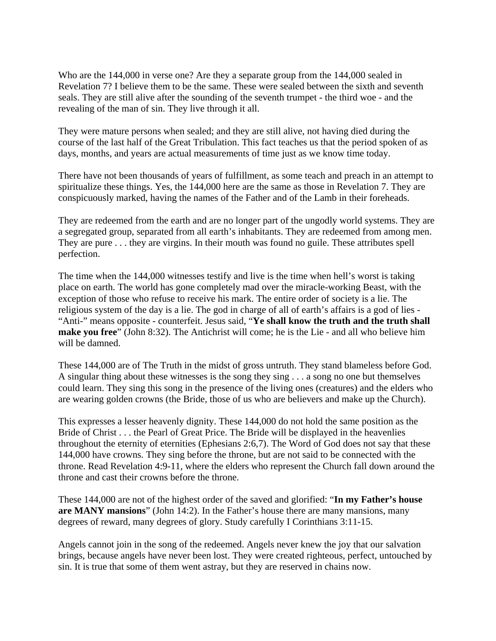Who are the 144,000 in verse one? Are they a separate group from the 144,000 sealed in Revelation 7? I believe them to be the same. These were sealed between the sixth and seventh seals. They are still alive after the sounding of the seventh trumpet - the third woe - and the revealing of the man of sin. They live through it all.

They were mature persons when sealed; and they are still alive, not having died during the course of the last half of the Great Tribulation. This fact teaches us that the period spoken of as days, months, and years are actual measurements of time just as we know time today.

There have not been thousands of years of fulfillment, as some teach and preach in an attempt to spiritualize these things. Yes, the 144,000 here are the same as those in Revelation 7. They are conspicuously marked, having the names of the Father and of the Lamb in their foreheads.

They are redeemed from the earth and are no longer part of the ungodly world systems. They are a segregated group, separated from all earth's inhabitants. They are redeemed from among men. They are pure . . . they are virgins. In their mouth was found no guile. These attributes spell perfection.

The time when the 144,000 witnesses testify and live is the time when hell's worst is taking place on earth. The world has gone completely mad over the miracle-working Beast, with the exception of those who refuse to receive his mark. The entire order of society is a lie. The religious system of the day is a lie. The god in charge of all of earth's affairs is a god of lies - "Anti-" means opposite - counterfeit. Jesus said, "**Ye shall know the truth and the truth shall make you free**" (John 8:32). The Antichrist will come; he is the Lie - and all who believe him will be damned.

These 144,000 are of The Truth in the midst of gross untruth. They stand blameless before God. A singular thing about these witnesses is the song they sing . . . a song no one but themselves could learn. They sing this song in the presence of the living ones (creatures) and the elders who are wearing golden crowns (the Bride, those of us who are believers and make up the Church).

This expresses a lesser heavenly dignity. These 144,000 do not hold the same position as the Bride of Christ . . . the Pearl of Great Price. The Bride will be displayed in the heavenlies throughout the eternity of eternities (Ephesians 2:6,7). The Word of God does not say that these 144,000 have crowns. They sing before the throne, but are not said to be connected with the throne. Read Revelation 4:9-11, where the elders who represent the Church fall down around the throne and cast their crowns before the throne.

These 144,000 are not of the highest order of the saved and glorified: "**In my Father's house are MANY mansions**" (John 14:2). In the Father's house there are many mansions, many degrees of reward, many degrees of glory. Study carefully I Corinthians 3:11-15.

Angels cannot join in the song of the redeemed. Angels never knew the joy that our salvation brings, because angels have never been lost. They were created righteous, perfect, untouched by sin. It is true that some of them went astray, but they are reserved in chains now.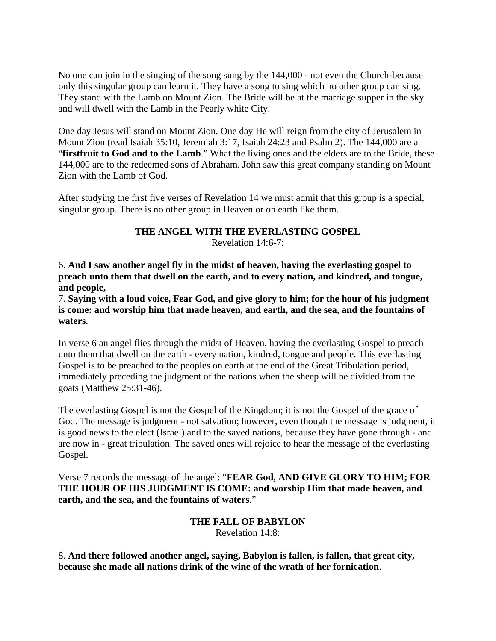No one can join in the singing of the song sung by the 144,000 - not even the Church-because only this singular group can learn it. They have a song to sing which no other group can sing. They stand with the Lamb on Mount Zion. The Bride will be at the marriage supper in the sky and will dwell with the Lamb in the Pearly white City.

One day Jesus will stand on Mount Zion. One day He will reign from the city of Jerusalem in Mount Zion (read Isaiah 35:10, Jeremiah 3:17, Isaiah 24:23 and Psalm 2). The 144,000 are a "firstfruit to God and to the Lamb." What the living ones and the elders are to the Bride, these 144,000 are to the redeemed sons of Abraham. John saw this great company standing on Mount Zion with the Lamb of God.

After studying the first five verses of Revelation 14 we must admit that this group is a special, singular group. There is no other group in Heaven or on earth like them.

## **THE ANGEL WITH THE EVERLASTING GOSPEL** Revelation 14:6-7:

6. **And I saw another angel fly in the midst of heaven, having the everlasting gospel to preach unto them that dwell on the earth, and to every nation, and kindred, and tongue, and people,**

7. **Saying with a loud voice, Fear God, and give glory to him; for the hour of his judgment is come: and worship him that made heaven, and earth, and the sea, and the fountains of waters**.

In verse 6 an angel flies through the midst of Heaven, having the everlasting Gospel to preach unto them that dwell on the earth - every nation, kindred, tongue and people. This everlasting Gospel is to be preached to the peoples on earth at the end of the Great Tribulation period, immediately preceding the judgment of the nations when the sheep will be divided from the goats (Matthew 25:31-46).

The everlasting Gospel is not the Gospel of the Kingdom; it is not the Gospel of the grace of God. The message is judgment - not salvation; however, even though the message is judgment, it is good news to the elect (Israel) and to the saved nations, because they have gone through - and are now in - great tribulation. The saved ones will rejoice to hear the message of the everlasting Gospel.

Verse 7 records the message of the angel: "**FEAR God, AND GIVE GLORY TO HIM; FOR THE HOUR OF HIS JUDGMENT IS COME: and worship Him that made heaven, and earth, and the sea, and the fountains of waters**."

# **THE FALL OF BABYLON** Revelation 14:8:

8. **And there followed another angel, saying, Babylon is fallen, is fallen, that great city, because she made all nations drink of the wine of the wrath of her fornication**.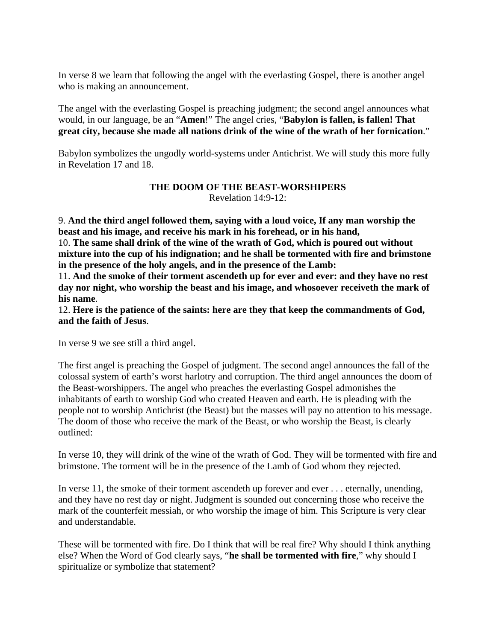In verse 8 we learn that following the angel with the everlasting Gospel, there is another angel who is making an announcement.

The angel with the everlasting Gospel is preaching judgment; the second angel announces what would, in our language, be an "**Amen**!" The angel cries, "**Babylon is fallen, is fallen! That great city, because she made all nations drink of the wine of the wrath of her fornication**."

Babylon symbolizes the ungodly world-systems under Antichrist. We will study this more fully in Revelation 17 and 18.

## **THE DOOM OF THE BEAST-WORSHIPERS**

Revelation 14:9-12:

9. **And the third angel followed them, saying with a loud voice, If any man worship the beast and his image, and receive his mark in his forehead, or in his hand,**

10. **The same shall drink of the wine of the wrath of God, which is poured out without mixture into the cup of his indignation; and he shall be tormented with fire and brimstone in the presence of the holy angels, and in the presence of the Lamb:**

11. **And the smoke of their torment ascendeth up for ever and ever: and they have no rest day nor night, who worship the beast and his image, and whosoever receiveth the mark of his name**.

12. **Here is the patience of the saints: here are they that keep the commandments of God, and the faith of Jesus**.

In verse 9 we see still a third angel.

The first angel is preaching the Gospel of judgment. The second angel announces the fall of the colossal system of earth's worst harlotry and corruption. The third angel announces the doom of the Beast-worshippers. The angel who preaches the everlasting Gospel admonishes the inhabitants of earth to worship God who created Heaven and earth. He is pleading with the people not to worship Antichrist (the Beast) but the masses will pay no attention to his message. The doom of those who receive the mark of the Beast, or who worship the Beast, is clearly outlined:

In verse 10, they will drink of the wine of the wrath of God. They will be tormented with fire and brimstone. The torment will be in the presence of the Lamb of God whom they rejected.

In verse 11, the smoke of their torment ascendeth up forever and ever . . . eternally, unending, and they have no rest day or night. Judgment is sounded out concerning those who receive the mark of the counterfeit messiah, or who worship the image of him. This Scripture is very clear and understandable.

These will be tormented with fire. Do I think that will be real fire? Why should I think anything else? When the Word of God clearly says, "**he shall be tormented with fire**," why should I spiritualize or symbolize that statement?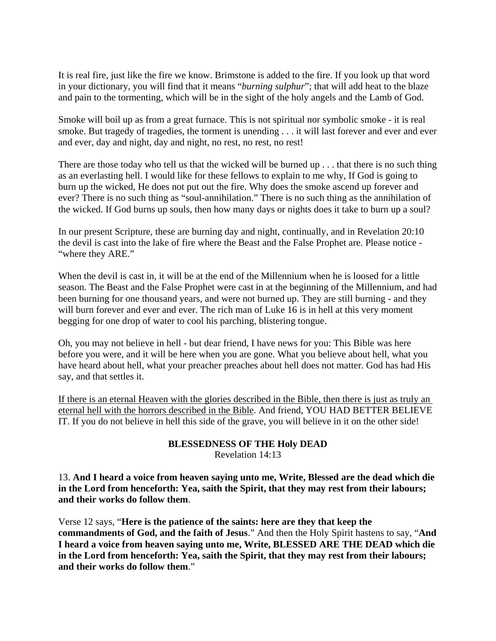It is real fire, just like the fire we know. Brimstone is added to the fire. If you look up that word in your dictionary, you will find that it means "*burning sulphur*"; that will add heat to the blaze and pain to the tormenting, which will be in the sight of the holy angels and the Lamb of God.

Smoke will boil up as from a great furnace. This is not spiritual nor symbolic smoke - it is real smoke. But tragedy of tragedies, the torment is unending . . . it will last forever and ever and ever and ever, day and night, day and night, no rest, no rest, no rest!

There are those today who tell us that the wicked will be burned up . . . that there is no such thing as an everlasting hell. I would like for these fellows to explain to me why, If God is going to burn up the wicked, He does not put out the fire. Why does the smoke ascend up forever and ever? There is no such thing as "soul-annihilation." There is no such thing as the annihilation of the wicked. If God burns up souls, then how many days or nights does it take to burn up a soul?

In our present Scripture, these are burning day and night, continually, and in Revelation 20:10 the devil is cast into the lake of fire where the Beast and the False Prophet are. Please notice - "where they ARE."

When the devil is cast in, it will be at the end of the Millennium when he is loosed for a little season. The Beast and the False Prophet were cast in at the beginning of the Millennium, and had been burning for one thousand years, and were not burned up. They are still burning - and they will burn forever and ever and ever. The rich man of Luke 16 is in hell at this very moment begging for one drop of water to cool his parching, blistering tongue.

Oh, you may not believe in hell - but dear friend, I have news for you: This Bible was here before you were, and it will be here when you are gone. What you believe about hell, what you have heard about hell, what your preacher preaches about hell does not matter. God has had His say, and that settles it.

If there is an eternal Heaven with the glories described in the Bible, then there is just as truly an eternal hell with the horrors described in the Bible. And friend, YOU HAD BETTER BELIEVE IT. If you do not believe in hell this side of the grave, you will believe in it on the other side!

## **BLESSEDNESS OF THE Holy DEAD** Revelation 14:13

13. **And I heard a voice from heaven saying unto me, Write, Blessed are the dead which die in the Lord from henceforth: Yea, saith the Spirit, that they may rest from their labours; and their works do follow them**.

Verse 12 says, "**Here is the patience of the saints: here are they that keep the commandments of God, and the faith of Jesus**." And then the Holy Spirit hastens to say, "**And I heard a voice from heaven saying unto me, Write, BLESSED ARE THE DEAD which die in the Lord from henceforth: Yea, saith the Spirit, that they may rest from their labours; and their works do follow them**."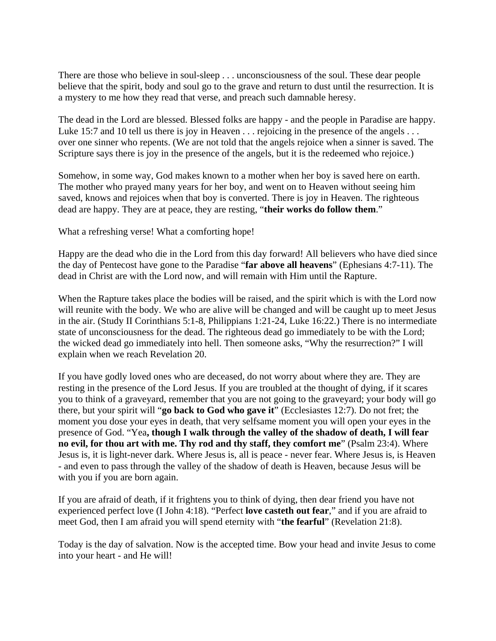There are those who believe in soul-sleep . . . unconsciousness of the soul. These dear people believe that the spirit, body and soul go to the grave and return to dust until the resurrection. It is a mystery to me how they read that verse, and preach such damnable heresy.

The dead in the Lord are blessed. Blessed folks are happy - and the people in Paradise are happy. Luke 15:7 and 10 tell us there is joy in Heaven . . . rejoicing in the presence of the angels . . . over one sinner who repents. (We are not told that the angels rejoice when a sinner is saved. The Scripture says there is joy in the presence of the angels, but it is the redeemed who rejoice.)

Somehow, in some way, God makes known to a mother when her boy is saved here on earth. The mother who prayed many years for her boy, and went on to Heaven without seeing him saved, knows and rejoices when that boy is converted. There is joy in Heaven. The righteous dead are happy. They are at peace, they are resting, "**their works do follow them**."

What a refreshing verse! What a comforting hope!

Happy are the dead who die in the Lord from this day forward! All believers who have died since the day of Pentecost have gone to the Paradise "**far above all heavens**" (Ephesians 4:7-11). The dead in Christ are with the Lord now, and will remain with Him until the Rapture.

When the Rapture takes place the bodies will be raised, and the spirit which is with the Lord now will reunite with the body. We who are alive will be changed and will be caught up to meet Jesus in the air. (Study II Corinthians 5:1-8, Philippians 1:21-24, Luke 16:22.) There is no intermediate state of unconsciousness for the dead. The righteous dead go immediately to be with the Lord; the wicked dead go immediately into hell. Then someone asks, "Why the resurrection?" I will explain when we reach Revelation 20.

If you have godly loved ones who are deceased, do not worry about where they are. They are resting in the presence of the Lord Jesus. If you are troubled at the thought of dying, if it scares you to think of a graveyard, remember that you are not going to the graveyard; your body will go there, but your spirit will "**go back to God who gave it**" (Ecclesiastes 12:7). Do not fret; the moment you dose your eyes in death, that very selfsame moment you will open your eyes in the presence of God. "Yea**, though I walk through the valley of the shadow of death, I will fear no evil, for thou art with me. Thy rod and thy staff, they comfort me**" (Psalm 23:4). Where Jesus is, it is light-never dark. Where Jesus is, all is peace - never fear. Where Jesus is, is Heaven - and even to pass through the valley of the shadow of death is Heaven, because Jesus will be with you if you are born again.

If you are afraid of death, if it frightens you to think of dying, then dear friend you have not experienced perfect love (I John 4:18). "Perfect **love casteth out fear**," and if you are afraid to meet God, then I am afraid you will spend eternity with "**the fearful**" (Revelation 21:8).

Today is the day of salvation. Now is the accepted time. Bow your head and invite Jesus to come into your heart - and He will!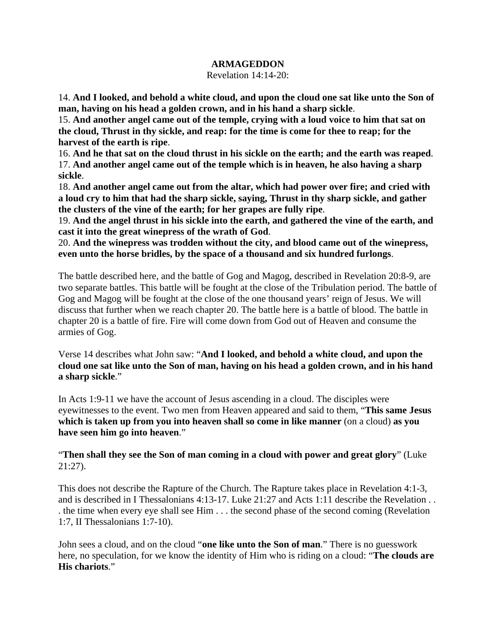#### **ARMAGEDDON**

Revelation 14:14-20:

14. **And I looked, and behold a white cloud, and upon the cloud one sat like unto the Son of man, having on his head a golden crown, and in his hand a sharp sickle**.

15. **And another angel came out of the temple, crying with a loud voice to him that sat on the cloud, Thrust in thy sickle, and reap: for the time is come for thee to reap; for the harvest of the earth is ripe**.

16. **And he that sat on the cloud thrust in his sickle on the earth; and the earth was reaped**. 17. **And another angel came out of the temple which is in heaven, he also having a sharp sickle**.

18. **And another angel came out from the altar, which had power over fire; and cried with a loud cry to him that had the sharp sickle, saying, Thrust in thy sharp sickle, and gather the clusters of the vine of the earth; for her grapes are fully ripe**.

19. **And the angel thrust in his sickle into the earth, and gathered the vine of the earth, and cast it into the great winepress of the wrath of God**.

20. **And the winepress was trodden without the city, and blood came out of the winepress, even unto the horse bridles, by the space of a thousand and six hundred furlongs**.

The battle described here, and the battle of Gog and Magog, described in Revelation 20:8-9, are two separate battles. This battle will be fought at the close of the Tribulation period. The battle of Gog and Magog will be fought at the close of the one thousand years' reign of Jesus. We will discuss that further when we reach chapter 20. The battle here is a battle of blood. The battle in chapter 20 is a battle of fire. Fire will come down from God out of Heaven and consume the armies of Gog.

Verse 14 describes what John saw: "**And I looked, and behold a white cloud, and upon the cloud one sat like unto the Son of man, having on his head a golden crown, and in his hand a sharp sickle**."

In Acts 1:9-11 we have the account of Jesus ascending in a cloud. The disciples were eyewitnesses to the event. Two men from Heaven appeared and said to them, "**This same Jesus which is taken up from you into heaven shall so come in like manner** (on a cloud) **as you have seen him go into heaven**."

"**Then shall they see the Son of man coming in a cloud with power and great glory**" (Luke 21:27).

This does not describe the Rapture of the Church. The Rapture takes place in Revelation 4:1-3, and is described in I Thessalonians 4:13-17. Luke 21:27 and Acts 1:11 describe the Revelation . . . the time when every eye shall see Him . . . the second phase of the second coming (Revelation 1:7, II Thessalonians 1:7-10).

John sees a cloud, and on the cloud "**one like unto the Son of man**." There is no guesswork here, no speculation, for we know the identity of Him who is riding on a cloud: "**The clouds are His chariots**."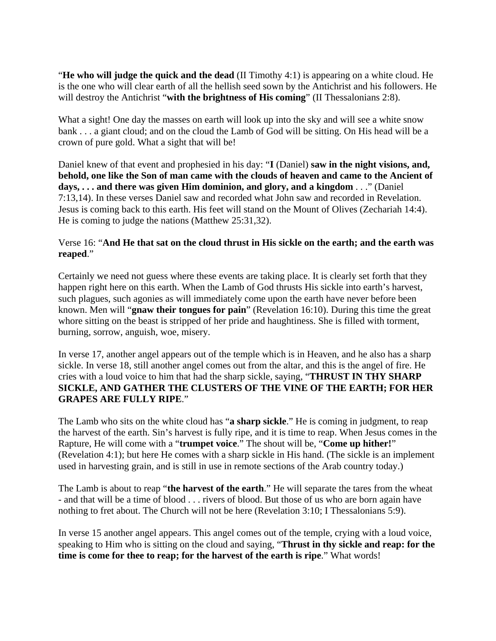"**He who will judge the quick and the dead** (II Timothy 4:1) is appearing on a white cloud. He is the one who will clear earth of all the hellish seed sown by the Antichrist and his followers. He will destroy the Antichrist "with the brightness of His coming" (II Thessalonians 2:8).

What a sight! One day the masses on earth will look up into the sky and will see a white snow bank . . . a giant cloud; and on the cloud the Lamb of God will be sitting. On His head will be a crown of pure gold. What a sight that will be!

Daniel knew of that event and prophesied in his day: "**I** (Daniel) **saw in the night visions, and, behold, one like the Son of man came with the clouds of heaven and came to the Ancient of days, . . . and there was given Him dominion, and glory, and a kingdom** . . ." (Daniel 7:13,14). In these verses Daniel saw and recorded what John saw and recorded in Revelation. Jesus is coming back to this earth. His feet will stand on the Mount of Olives (Zechariah 14:4). He is coming to judge the nations (Matthew 25:31,32).

# Verse 16: "**And He that sat on the cloud thrust in His sickle on the earth; and the earth was reaped**."

Certainly we need not guess where these events are taking place. It is clearly set forth that they happen right here on this earth. When the Lamb of God thrusts His sickle into earth's harvest, such plagues, such agonies as will immediately come upon the earth have never before been known. Men will "**gnaw their tongues for pain**" (Revelation 16:10). During this time the great whore sitting on the beast is stripped of her pride and haughtiness. She is filled with torment, burning, sorrow, anguish, woe, misery.

In verse 17, another angel appears out of the temple which is in Heaven, and he also has a sharp sickle. In verse 18, still another angel comes out from the altar, and this is the angel of fire. He cries with a loud voice to him that had the sharp sickle, saying, "**THRUST IN THY SHARP SICKLE, AND GATHER THE CLUSTERS OF THE VINE OF THE EARTH; FOR HER GRAPES ARE FULLY RIPE**."

The Lamb who sits on the white cloud has "**a sharp sickle**." He is coming in judgment, to reap the harvest of the earth. Sin's harvest is fully ripe, and it is time to reap. When Jesus comes in the Rapture, He will come with a "**trumpet voice**." The shout will be, "**Come up hither!**" (Revelation 4:1); but here He comes with a sharp sickle in His hand. (The sickle is an implement used in harvesting grain, and is still in use in remote sections of the Arab country today.)

The Lamb is about to reap "**the harvest of the earth**." He will separate the tares from the wheat - and that will be a time of blood . . . rivers of blood. But those of us who are born again have nothing to fret about. The Church will not be here (Revelation 3:10; I Thessalonians 5:9).

In verse 15 another angel appears. This angel comes out of the temple, crying with a loud voice, speaking to Him who is sitting on the cloud and saying, "**Thrust in thy sickle and reap: for the time is come for thee to reap; for the harvest of the earth is ripe**." What words!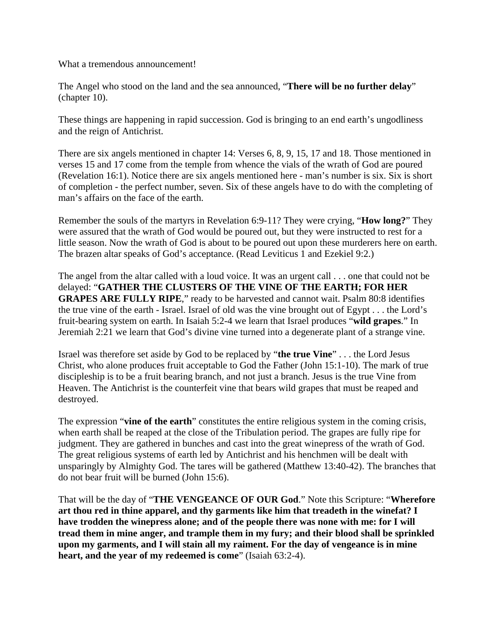What a tremendous announcement!

The Angel who stood on the land and the sea announced, "**There will be no further delay**" (chapter 10).

These things are happening in rapid succession. God is bringing to an end earth's ungodliness and the reign of Antichrist.

There are six angels mentioned in chapter 14: Verses 6, 8, 9, 15, 17 and 18. Those mentioned in verses 15 and 17 come from the temple from whence the vials of the wrath of God are poured (Revelation 16:1). Notice there are six angels mentioned here - man's number is six. Six is short of completion - the perfect number, seven. Six of these angels have to do with the completing of man's affairs on the face of the earth.

Remember the souls of the martyrs in Revelation 6:9-11? They were crying, "**How long?**" They were assured that the wrath of God would be poured out, but they were instructed to rest for a little season. Now the wrath of God is about to be poured out upon these murderers here on earth. The brazen altar speaks of God's acceptance. (Read Leviticus 1 and Ezekiel 9:2.)

The angel from the altar called with a loud voice. It was an urgent call . . . one that could not be delayed: "**GATHER THE CLUSTERS OF THE VINE OF THE EARTH; FOR HER GRAPES ARE FULLY RIPE**," ready to be harvested and cannot wait. Psalm 80:8 identifies the true vine of the earth - Israel. Israel of old was the vine brought out of Egypt . . . the Lord's fruit-bearing system on earth. In Isaiah 5:2-4 we learn that Israel produces "**wild grapes**." In Jeremiah 2:21 we learn that God's divine vine turned into a degenerate plant of a strange vine.

Israel was therefore set aside by God to be replaced by "**the true Vine**" . . . the Lord Jesus Christ, who alone produces fruit acceptable to God the Father (John 15:1-10). The mark of true discipleship is to be a fruit bearing branch, and not just a branch. Jesus is the true Vine from Heaven. The Antichrist is the counterfeit vine that bears wild grapes that must be reaped and destroyed.

The expression "**vine of the earth**" constitutes the entire religious system in the coming crisis, when earth shall be reaped at the close of the Tribulation period. The grapes are fully ripe for judgment. They are gathered in bunches and cast into the great winepress of the wrath of God. The great religious systems of earth led by Antichrist and his henchmen will be dealt with unsparingly by Almighty God. The tares will be gathered (Matthew 13:40-42). The branches that do not bear fruit will be burned (John 15:6).

That will be the day of "**THE VENGEANCE OF OUR God**." Note this Scripture: "**Wherefore art thou red in thine apparel, and thy garments like him that treadeth in the winefat? I have trodden the winepress alone; and of the people there was none with me: for I will tread them in mine anger, and trample them in my fury; and their blood shall be sprinkled upon my garments, and I will stain all my raiment. For the day of vengeance is in mine heart, and the year of my redeemed is come**" (Isaiah 63:2-4).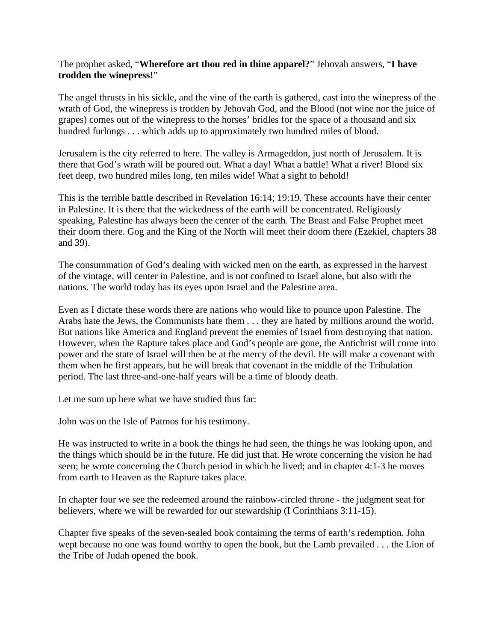## The prophet asked, "**Wherefore art thou red in thine apparel?**" Jehovah answers, "**I have trodden the winepress!**"

The angel thrusts in his sickle, and the vine of the earth is gathered, cast into the winepress of the wrath of God, the winepress is trodden by Jehovah God, and the Blood (not wine nor the juice of grapes) comes out of the winepress to the horses' bridles for the space of a thousand and six hundred furlongs . . . which adds up to approximately two hundred miles of blood.

Jerusalem is the city referred to here. The valley is Armageddon, just north of Jerusalem. It is there that God's wrath will be poured out. What a day! What a battle! What a river! Blood six feet deep, two hundred miles long, ten miles wide! What a sight to behold!

This is the terrible battle described in Revelation 16:14; 19:19. These accounts have their center in Palestine. It is there that the wickedness of the earth will be concentrated. Religiously speaking, Palestine has always been the center of the earth. The Beast and False Prophet meet their doom there. Gog and the King of the North will meet their doom there (Ezekiel, chapters 38 and 39).

The consummation of God's dealing with wicked men on the earth, as expressed in the harvest of the vintage, will center in Palestine, and is not confined to Israel alone, but also with the nations. The world today has its eyes upon Israel and the Palestine area.

Even as I dictate these words there are nations who would like to pounce upon Palestine. The Arabs hate the Jews, the Communists hate them . . . they are hated by millions around the world. But nations like America and England prevent the enemies of Israel from destroying that nation. However, when the Rapture takes place and God's people are gone, the Antichrist will come into power and the state of Israel will then be at the mercy of the devil. He will make a covenant with them when he first appears, but he will break that covenant in the middle of the Tribulation period. The last three-and-one-half years will be a time of bloody death.

Let me sum up here what we have studied thus far:

John was on the Isle of Patmos for his testimony.

He was instructed to write in a book the things he had seen, the things he was looking upon, and the things which should be in the future. He did just that. He wrote concerning the vision he had seen; he wrote concerning the Church period in which he lived; and in chapter 4:1-3 he moves from earth to Heaven as the Rapture takes place.

In chapter four we see the redeemed around the rainbow-circled throne - the judgment seat for believers, where we will be rewarded for our stewardship (I Corinthians 3:11-15).

Chapter five speaks of the seven-sealed book containing the terms of earth's redemption. John wept because no one was found worthy to open the book, but the Lamb prevailed . . . the Lion of the Tribe of Judah opened the book.